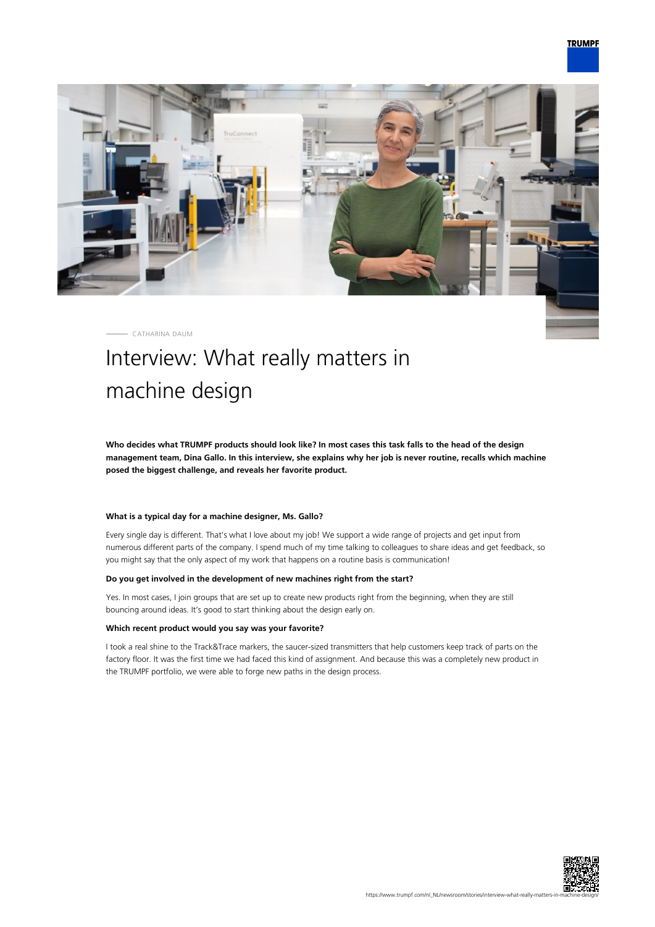

CATHARINA DAUM

# Interview: What really matters in machine design

**Who decides what TRUMPF products should look like? In most cases this task falls to the head of the design management team, Dina Gallo. In this interview, she explains why her job is never routine, recalls which machine posed the biggest challenge, and reveals her favorite product.**

## **What is a typical day for a machine designer, Ms. Gallo?**

Every single day is different. That's what I love about my job! We support a wide range of projects and get input from numerous different parts of the company. I spend much of my time talking to colleagues to share ideas and get feedback, so you might say that the only aspect of my work that happens on a routine basis is communication!

### **Do you get involved in the development of new machines right from the start?**

Yes. In most cases, I join groups that are set up to create new products right from the beginning, when they are still bouncing around ideas. It's good to start thinking about the design early on.

#### **Which recent product would you say was your favorite?**

I took a real shine to the Track&Trace markers, the saucer-sized transmitters that help customers keep track of parts on the factory floor. It was the first time we had faced this kind of assignment. And because this was a completely new product in the TRUMPF portfolio, we were able to forge new paths in the design process.

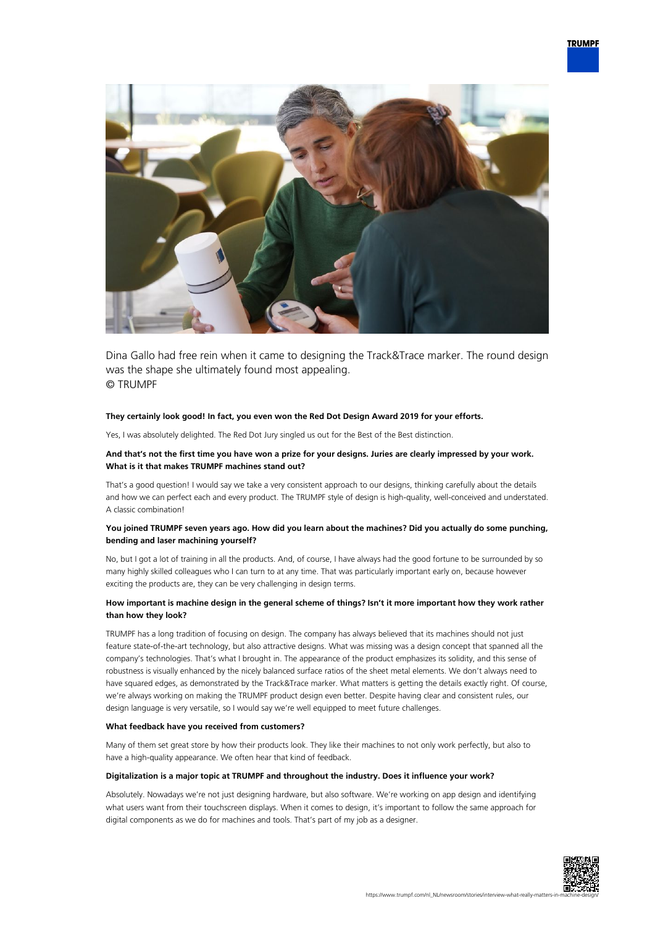

Dina Gallo had free rein when it came to designing the Track&Trace marker. The round design was the shape she ultimately found most appealing. © TRUMPF

#### **They certainly look good! In fact, you even won the Red Dot Design Award 2019 for your efforts.**

Yes, I was absolutely delighted. The Red Dot Jury singled us out for the Best of the Best distinction.

#### **And that's not the first time you have won a prize for your designs. Juries are clearly impressed by your work. What is it that makes TRUMPF machines stand out?**

That's a good question! I would say we take a very consistent approach to our designs, thinking carefully about the details and how we can perfect each and every product. The TRUMPF style of design is high-quality, well-conceived and understated. A classic combination!

## **You joined TRUMPF seven years ago. How did you learn about the machines? Did you actually do some punching, bending and laser machining yourself?**

No, but I got a lot of training in all the products. And, of course, I have always had the good fortune to be surrounded by so many highly skilled colleagues who I can turn to at any time. That was particularly important early on, because however exciting the products are, they can be very challenging in design terms.

### **How important is machine design in the general scheme of things? Isn't it more important how they work rather than how they look?**

TRUMPF has a long tradition of focusing on design. The company has always believed that its machines should not just feature state-of-the-art technology, but also attractive designs. What was missing was a design concept that spanned all the company's technologies. That's what I brought in. The appearance of the product emphasizes its solidity, and this sense of robustness is visually enhanced by the nicely balanced surface ratios of the sheet metal elements. We don't always need to have squared edges, as demonstrated by the Track&Trace marker. What matters is getting the details exactly right. Of course, we're always working on making the TRUMPF product design even better. Despite having clear and consistent rules, our design language is very versatile, so I would say we're well equipped to meet future challenges.

#### **What feedback have you received from customers?**

Many of them set great store by how their products look. They like their machines to not only work perfectly, but also to have a high-quality appearance. We often hear that kind of feedback.

### **Digitalization is a major topic at TRUMPF and throughout the industry. Does it influence your work?**

Absolutely. Nowadays we're not just designing hardware, but also software. We're working on app design and identifying what users want from their touchscreen displays. When it comes to design, it's important to follow the same approach for digital components as we do for machines and tools. That's part of my job as a designer.